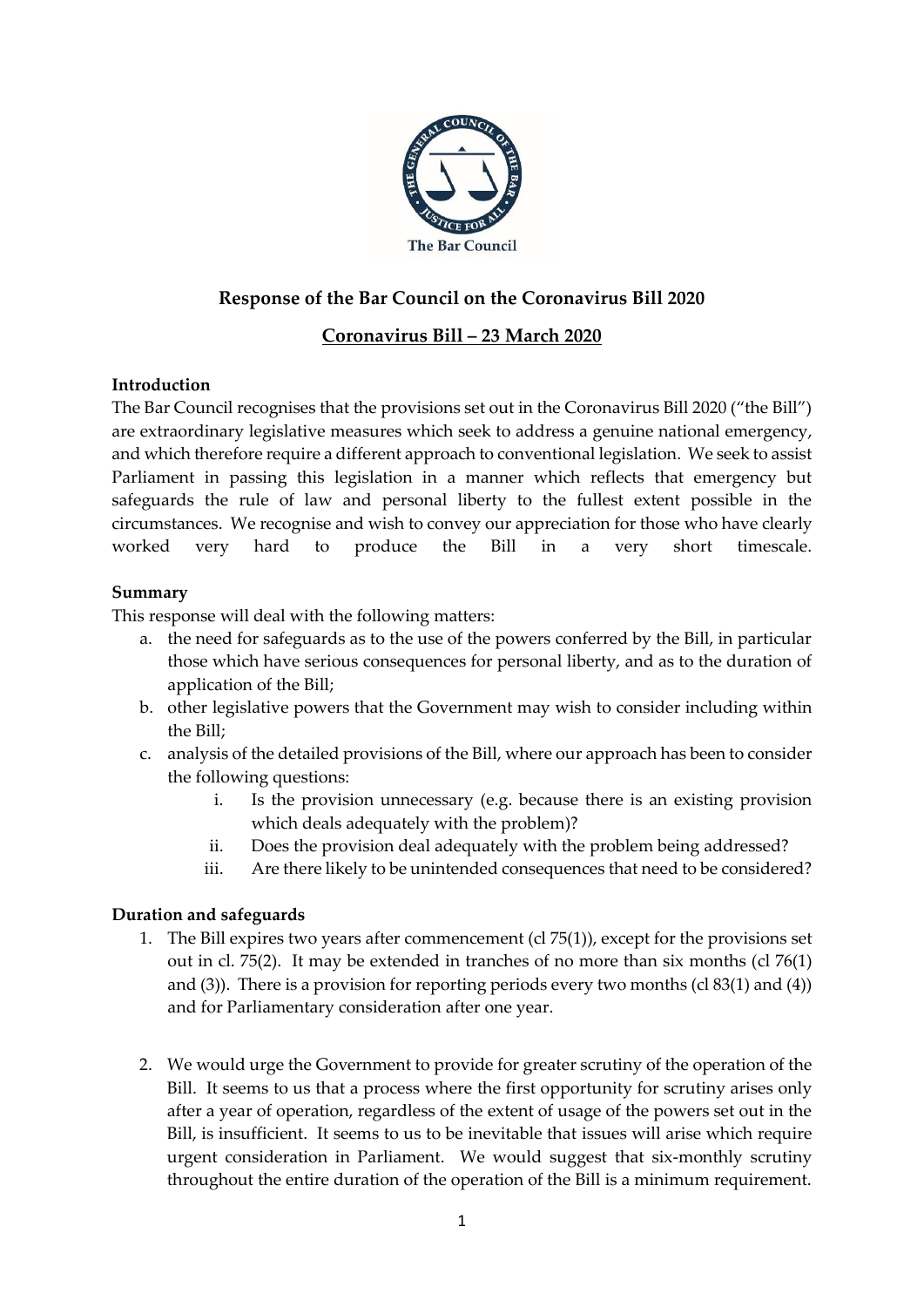

# **Response of the Bar Council on the Coronavirus Bill 2020**

# **Coronavirus Bill – 23 March 2020**

## **Introduction**

The Bar Council recognises that the provisions set out in the Coronavirus Bill 2020 ("the Bill") are extraordinary legislative measures which seek to address a genuine national emergency, and which therefore require a different approach to conventional legislation. We seek to assist Parliament in passing this legislation in a manner which reflects that emergency but safeguards the rule of law and personal liberty to the fullest extent possible in the circumstances. We recognise and wish to convey our appreciation for those who have clearly worked very hard to produce the Bill in a very short timescale.

## **Summary**

This response will deal with the following matters:

- a. the need for safeguards as to the use of the powers conferred by the Bill, in particular those which have serious consequences for personal liberty, and as to the duration of application of the Bill;
- b. other legislative powers that the Government may wish to consider including within the Bill;
- c. analysis of the detailed provisions of the Bill, where our approach has been to consider the following questions:
	- i. Is the provision unnecessary (e.g. because there is an existing provision which deals adequately with the problem)?
	- ii. Does the provision deal adequately with the problem being addressed?
	- iii. Are there likely to be unintended consequences that need to be considered?

## **Duration and safeguards**

- 1. The Bill expires two years after commencement (cl 75(1)), except for the provisions set out in cl. 75(2). It may be extended in tranches of no more than six months (cl 76(1) and  $(3)$ ). There is a provision for reporting periods every two months  $(cl 83(1)$  and  $(4))$ and for Parliamentary consideration after one year.
- 2. We would urge the Government to provide for greater scrutiny of the operation of the Bill. It seems to us that a process where the first opportunity for scrutiny arises only after a year of operation, regardless of the extent of usage of the powers set out in the Bill, is insufficient. It seems to us to be inevitable that issues will arise which require urgent consideration in Parliament. We would suggest that six-monthly scrutiny throughout the entire duration of the operation of the Bill is a minimum requirement.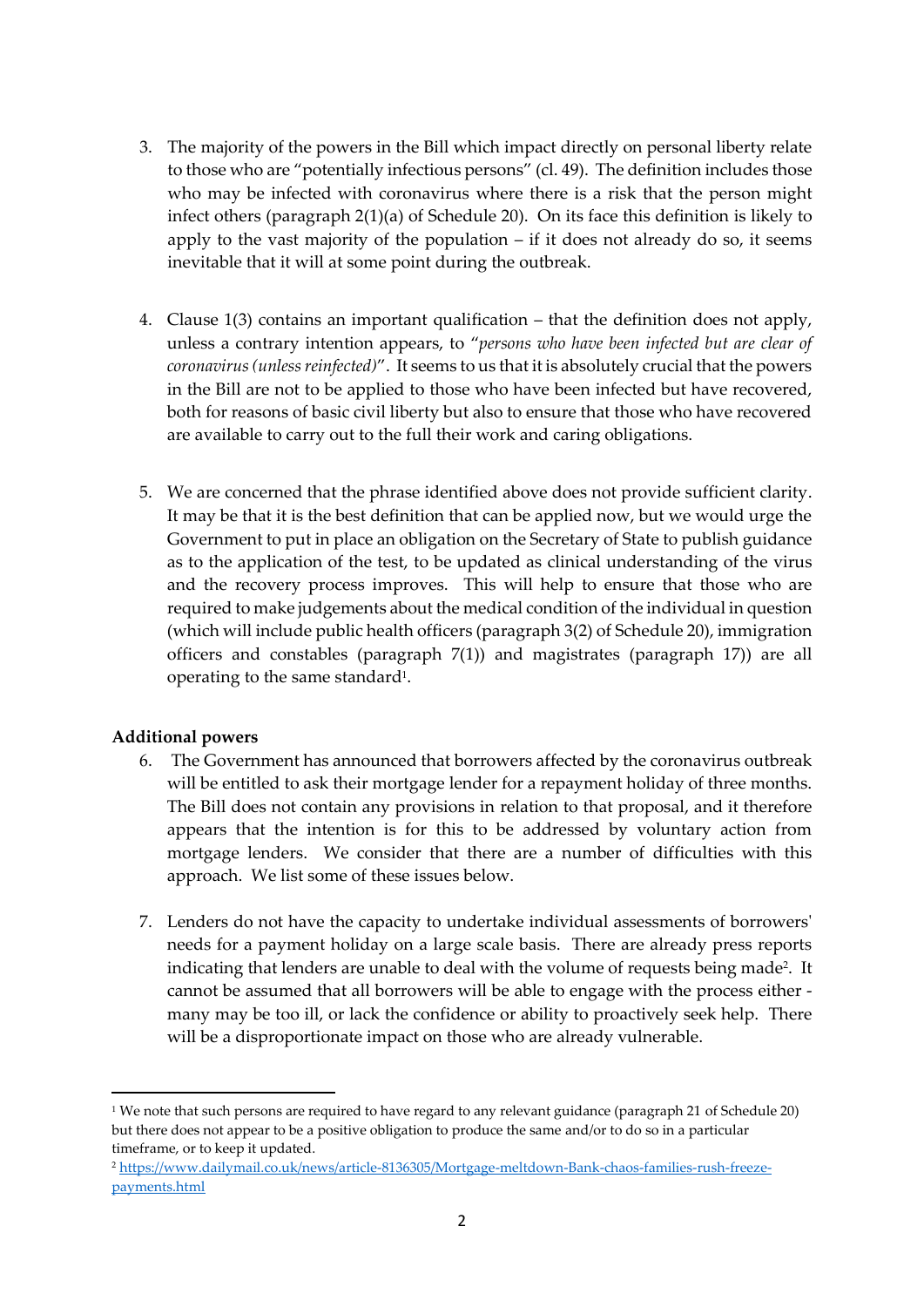- 3. The majority of the powers in the Bill which impact directly on personal liberty relate to those who are "potentially infectious persons" (cl. 49). The definition includes those who may be infected with coronavirus where there is a risk that the person might infect others (paragraph 2(1)(a) of Schedule 20). On its face this definition is likely to apply to the vast majority of the population  $-$  if it does not already do so, it seems inevitable that it will at some point during the outbreak.
- 4. Clause 1(3) contains an important qualification that the definition does not apply, unless a contrary intention appears, to "*persons who have been infected but are clear of coronavirus(unless reinfected)*". It seems to us that it is absolutely crucial that the powers in the Bill are not to be applied to those who have been infected but have recovered, both for reasons of basic civil liberty but also to ensure that those who have recovered are available to carry out to the full their work and caring obligations.
- 5. We are concerned that the phrase identified above does not provide sufficient clarity. It may be that it is the best definition that can be applied now, but we would urge the Government to put in place an obligation on the Secretary of State to publish guidance as to the application of the test, to be updated as clinical understanding of the virus and the recovery process improves. This will help to ensure that those who are required to make judgements about the medical condition of the individual in question (which will include public health officers (paragraph 3(2) of Schedule 20), immigration officers and constables (paragraph 7(1)) and magistrates (paragraph 17)) are all operating to the same standard<sup>1</sup>.

## **Additional powers**

- 6. The Government has announced that borrowers affected by the coronavirus outbreak will be entitled to ask their mortgage lender for a repayment holiday of three months. The Bill does not contain any provisions in relation to that proposal, and it therefore appears that the intention is for this to be addressed by voluntary action from mortgage lenders. We consider that there are a number of difficulties with this approach. We list some of these issues below.
- 7. Lenders do not have the capacity to undertake individual assessments of borrowers' needs for a payment holiday on a large scale basis. There are already press reports indicating that lenders are unable to deal with the volume of requests being made<sup>2</sup> . It cannot be assumed that all borrowers will be able to engage with the process either many may be too ill, or lack the confidence or ability to proactively seek help. There will be a disproportionate impact on those who are already vulnerable.

<sup>1</sup> We note that such persons are required to have regard to any relevant guidance (paragraph 21 of Schedule 20) but there does not appear to be a positive obligation to produce the same and/or to do so in a particular timeframe, or to keep it updated.

<sup>2</sup> [https://www.dailymail.co.uk/news/article-8136305/Mortgage-meltdown-Bank-chaos-families-rush-freeze](https://www.dailymail.co.uk/news/article-8136305/Mortgage-meltdown-Bank-chaos-families-rush-freeze-payments.html)[payments.html](https://www.dailymail.co.uk/news/article-8136305/Mortgage-meltdown-Bank-chaos-families-rush-freeze-payments.html)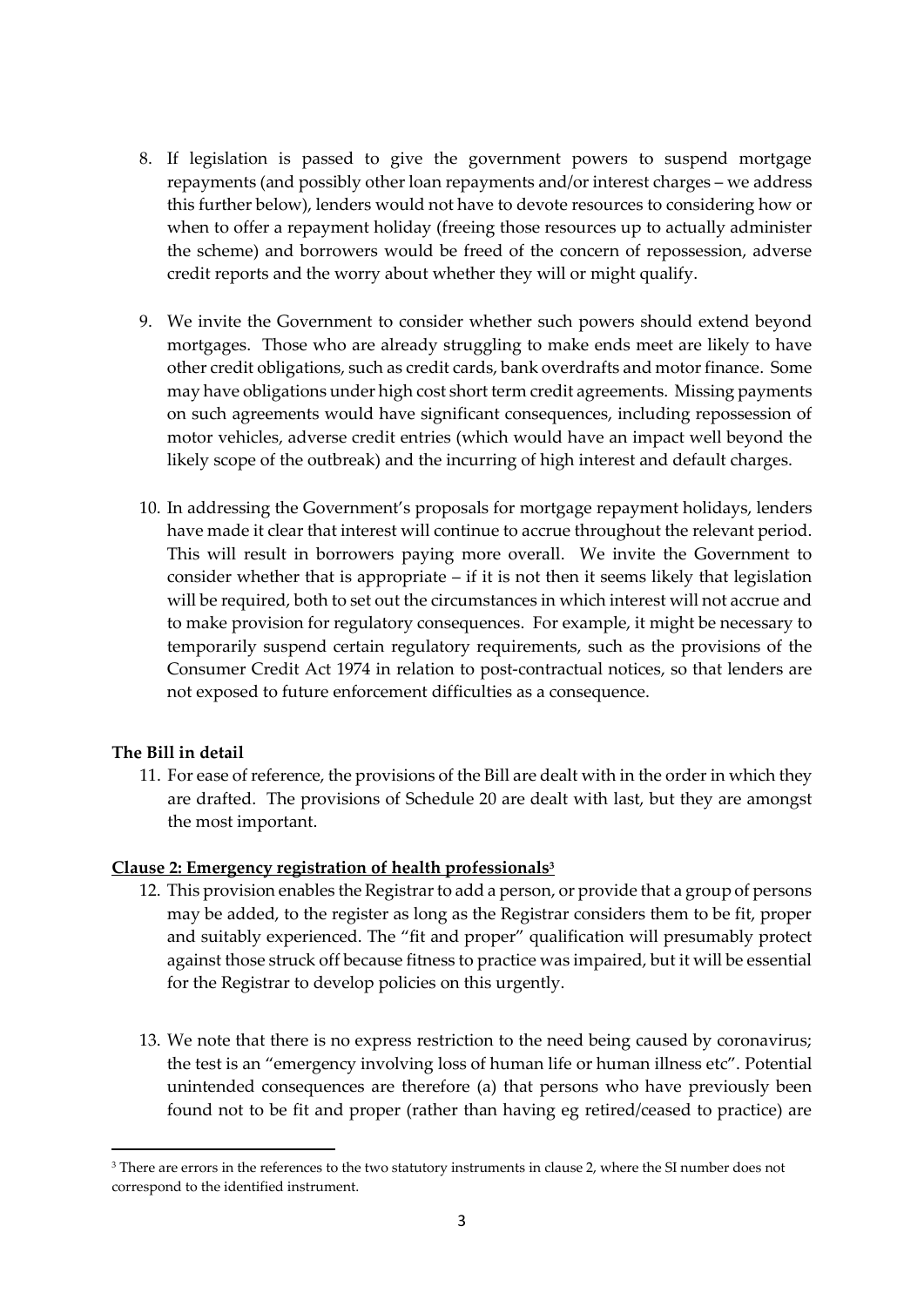- 8. If legislation is passed to give the government powers to suspend mortgage repayments (and possibly other loan repayments and/or interest charges – we address this further below), lenders would not have to devote resources to considering how or when to offer a repayment holiday (freeing those resources up to actually administer the scheme) and borrowers would be freed of the concern of repossession, adverse credit reports and the worry about whether they will or might qualify.
- 9. We invite the Government to consider whether such powers should extend beyond mortgages. Those who are already struggling to make ends meet are likely to have other credit obligations, such as credit cards, bank overdrafts and motor finance. Some may have obligations under high cost short term credit agreements. Missing payments on such agreements would have significant consequences, including repossession of motor vehicles, adverse credit entries (which would have an impact well beyond the likely scope of the outbreak) and the incurring of high interest and default charges.
- 10. In addressing the Government's proposals for mortgage repayment holidays, lenders have made it clear that interest will continue to accrue throughout the relevant period. This will result in borrowers paying more overall. We invite the Government to consider whether that is appropriate – if it is not then it seems likely that legislation will be required, both to set out the circumstances in which interest will not accrue and to make provision for regulatory consequences. For example, it might be necessary to temporarily suspend certain regulatory requirements, such as the provisions of the Consumer Credit Act 1974 in relation to post-contractual notices, so that lenders are not exposed to future enforcement difficulties as a consequence.

## **The Bill in detail**

11. For ease of reference, the provisions of the Bill are dealt with in the order in which they are drafted. The provisions of Schedule 20 are dealt with last, but they are amongst the most important.

## **Clause 2: Emergency registration of health professionals<sup>3</sup>**

- 12. This provision enables the Registrar to add a person, or provide that a group of persons may be added, to the register as long as the Registrar considers them to be fit, proper and suitably experienced. The "fit and proper" qualification will presumably protect against those struck off because fitness to practice was impaired, but it will be essential for the Registrar to develop policies on this urgently.
- 13. We note that there is no express restriction to the need being caused by coronavirus; the test is an "emergency involving loss of human life or human illness etc". Potential unintended consequences are therefore (a) that persons who have previously been found not to be fit and proper (rather than having eg retired/ceased to practice) are

<sup>3</sup> There are errors in the references to the two statutory instruments in clause 2, where the SI number does not correspond to the identified instrument.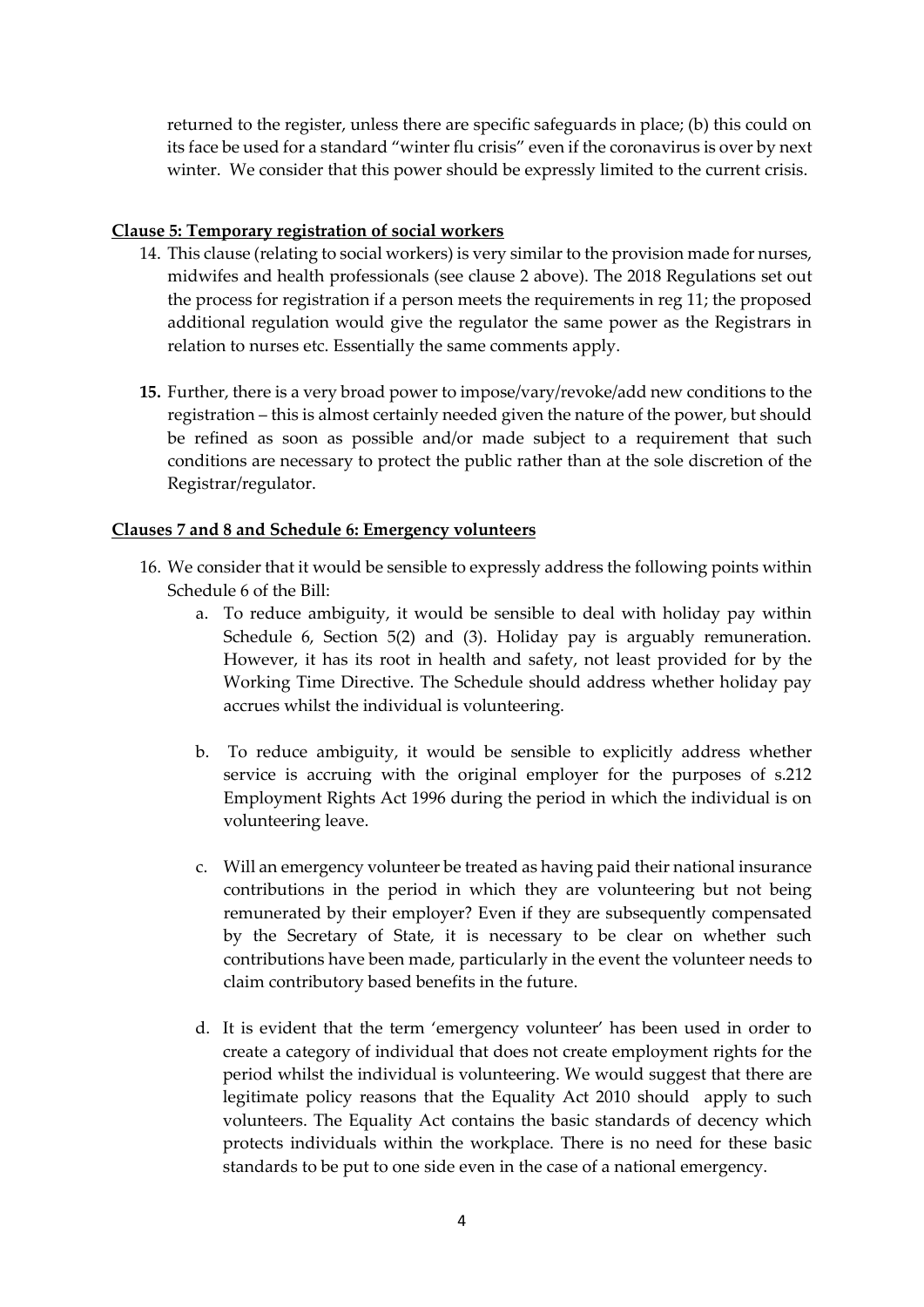returned to the register, unless there are specific safeguards in place; (b) this could on its face be used for a standard "winter flu crisis" even if the coronavirus is over by next winter. We consider that this power should be expressly limited to the current crisis.

### **Clause 5: Temporary registration of social workers**

- 14. This clause (relating to social workers) is very similar to the provision made for nurses, midwifes and health professionals (see clause 2 above). The 2018 Regulations set out the process for registration if a person meets the requirements in reg 11; the proposed additional regulation would give the regulator the same power as the Registrars in relation to nurses etc. Essentially the same comments apply.
- **15.** Further, there is a very broad power to impose/vary/revoke/add new conditions to the registration – this is almost certainly needed given the nature of the power, but should be refined as soon as possible and/or made subject to a requirement that such conditions are necessary to protect the public rather than at the sole discretion of the Registrar/regulator.

### **Clauses 7 and 8 and Schedule 6: Emergency volunteers**

- 16. We consider that it would be sensible to expressly address the following points within Schedule 6 of the Bill:
	- a. To reduce ambiguity, it would be sensible to deal with holiday pay within Schedule 6, Section 5(2) and (3). Holiday pay is arguably remuneration. However, it has its root in health and safety, not least provided for by the Working Time Directive. The Schedule should address whether holiday pay accrues whilst the individual is volunteering.
	- b. To reduce ambiguity, it would be sensible to explicitly address whether service is accruing with the original employer for the purposes of s.212 Employment Rights Act 1996 during the period in which the individual is on volunteering leave.
	- c. Will an emergency volunteer be treated as having paid their national insurance contributions in the period in which they are volunteering but not being remunerated by their employer? Even if they are subsequently compensated by the Secretary of State, it is necessary to be clear on whether such contributions have been made, particularly in the event the volunteer needs to claim contributory based benefits in the future.
	- d. It is evident that the term 'emergency volunteer' has been used in order to create a category of individual that does not create employment rights for the period whilst the individual is volunteering. We would suggest that there are legitimate policy reasons that the Equality Act 2010 should apply to such volunteers. The Equality Act contains the basic standards of decency which protects individuals within the workplace. There is no need for these basic standards to be put to one side even in the case of a national emergency.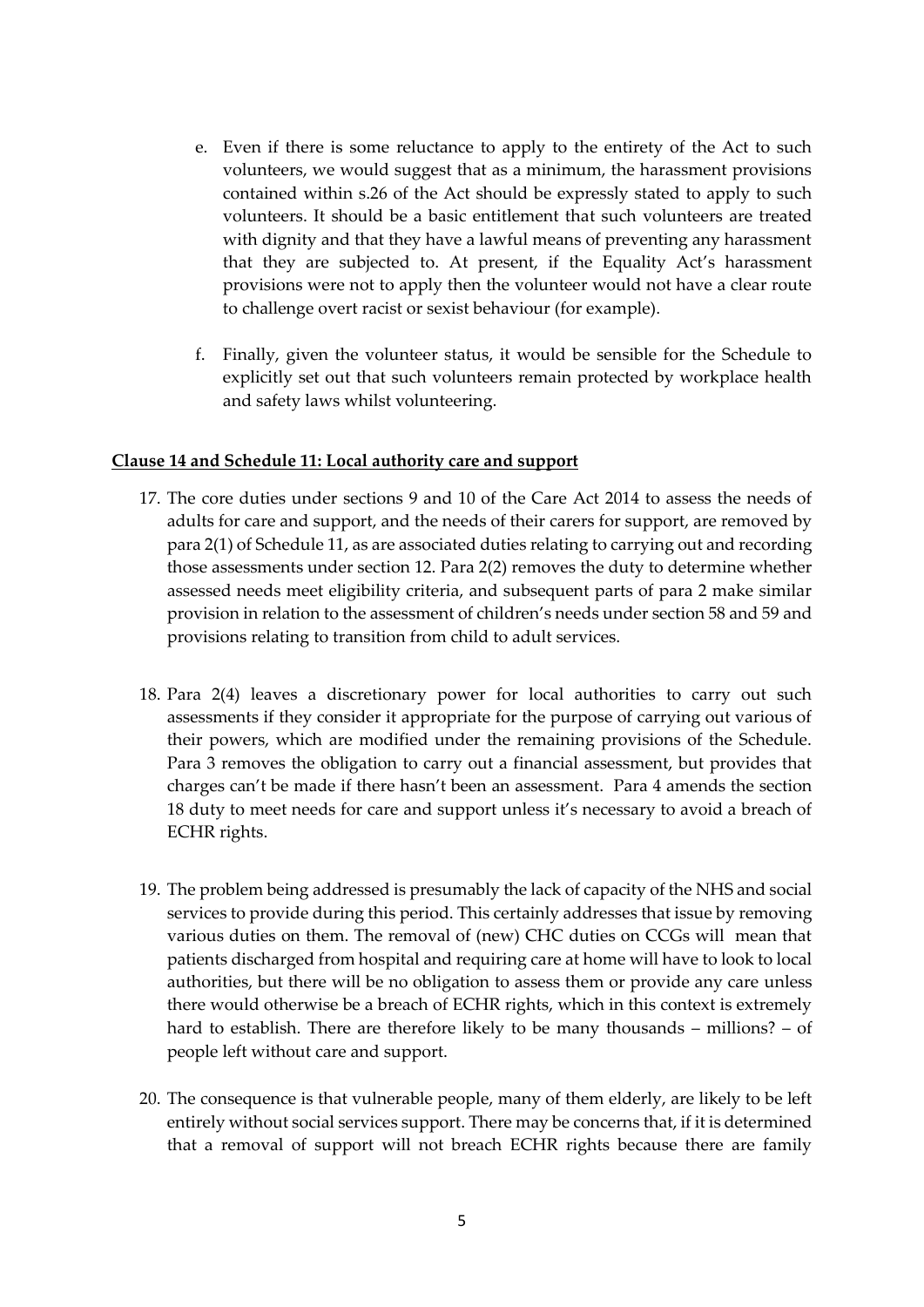- e. Even if there is some reluctance to apply to the entirety of the Act to such volunteers, we would suggest that as a minimum, the harassment provisions contained within s.26 of the Act should be expressly stated to apply to such volunteers. It should be a basic entitlement that such volunteers are treated with dignity and that they have a lawful means of preventing any harassment that they are subjected to. At present, if the Equality Act's harassment provisions were not to apply then the volunteer would not have a clear route to challenge overt racist or sexist behaviour (for example).
- f. Finally, given the volunteer status, it would be sensible for the Schedule to explicitly set out that such volunteers remain protected by workplace health and safety laws whilst volunteering.

## **Clause 14 and Schedule 11: Local authority care and support**

- 17. The core duties under sections 9 and 10 of the Care Act 2014 to assess the needs of adults for care and support, and the needs of their carers for support, are removed by para 2(1) of Schedule 11, as are associated duties relating to carrying out and recording those assessments under section 12. Para 2(2) removes the duty to determine whether assessed needs meet eligibility criteria, and subsequent parts of para 2 make similar provision in relation to the assessment of children's needs under section 58 and 59 and provisions relating to transition from child to adult services.
- 18. Para 2(4) leaves a discretionary power for local authorities to carry out such assessments if they consider it appropriate for the purpose of carrying out various of their powers, which are modified under the remaining provisions of the Schedule. Para 3 removes the obligation to carry out a financial assessment, but provides that charges can't be made if there hasn't been an assessment. Para 4 amends the section 18 duty to meet needs for care and support unless it's necessary to avoid a breach of ECHR rights.
- 19. The problem being addressed is presumably the lack of capacity of the NHS and social services to provide during this period. This certainly addresses that issue by removing various duties on them. The removal of (new) CHC duties on CCGs will mean that patients discharged from hospital and requiring care at home will have to look to local authorities, but there will be no obligation to assess them or provide any care unless there would otherwise be a breach of ECHR rights, which in this context is extremely hard to establish. There are therefore likely to be many thousands – millions? – of people left without care and support.
- 20. The consequence is that vulnerable people, many of them elderly, are likely to be left entirely without social services support. There may be concerns that, if it is determined that a removal of support will not breach ECHR rights because there are family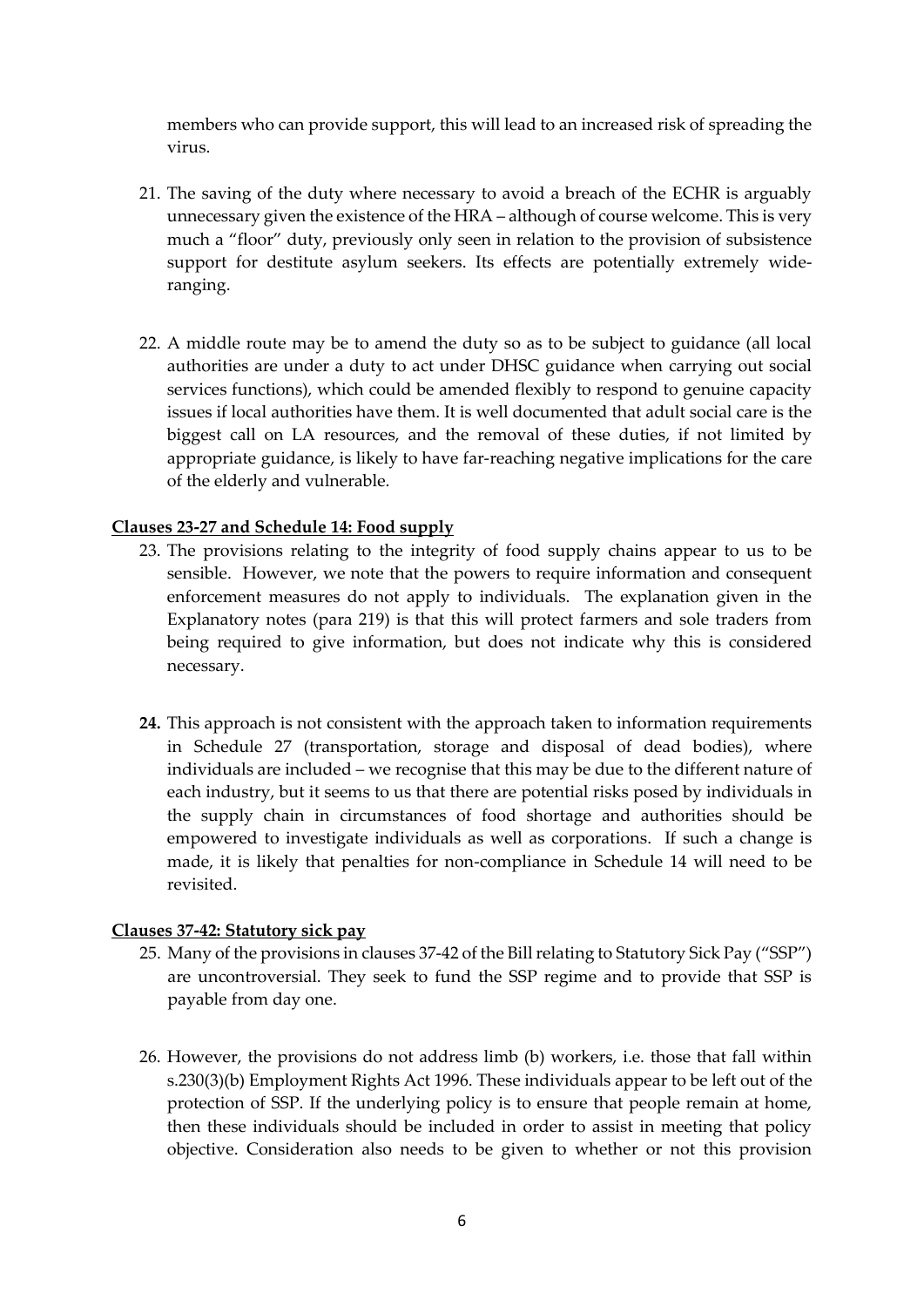members who can provide support, this will lead to an increased risk of spreading the virus.

- 21. The saving of the duty where necessary to avoid a breach of the ECHR is arguably unnecessary given the existence of the HRA – although of course welcome. This is very much a "floor" duty, previously only seen in relation to the provision of subsistence support for destitute asylum seekers. Its effects are potentially extremely wideranging.
- 22. A middle route may be to amend the duty so as to be subject to guidance (all local authorities are under a duty to act under DHSC guidance when carrying out social services functions), which could be amended flexibly to respond to genuine capacity issues if local authorities have them. It is well documented that adult social care is the biggest call on LA resources, and the removal of these duties, if not limited by appropriate guidance, is likely to have far-reaching negative implications for the care of the elderly and vulnerable.

## **Clauses 23-27 and Schedule 14: Food supply**

- 23. The provisions relating to the integrity of food supply chains appear to us to be sensible. However, we note that the powers to require information and consequent enforcement measures do not apply to individuals. The explanation given in the Explanatory notes (para 219) is that this will protect farmers and sole traders from being required to give information, but does not indicate why this is considered necessary.
- **24.** This approach is not consistent with the approach taken to information requirements in Schedule 27 (transportation, storage and disposal of dead bodies), where individuals are included – we recognise that this may be due to the different nature of each industry, but it seems to us that there are potential risks posed by individuals in the supply chain in circumstances of food shortage and authorities should be empowered to investigate individuals as well as corporations. If such a change is made, it is likely that penalties for non-compliance in Schedule 14 will need to be revisited.

#### **Clauses 37-42: Statutory sick pay**

- 25. Many of the provisions in clauses 37-42 of the Bill relating to Statutory Sick Pay ("SSP") are uncontroversial. They seek to fund the SSP regime and to provide that SSP is payable from day one.
- 26. However, the provisions do not address limb (b) workers, i.e. those that fall within s.230(3)(b) Employment Rights Act 1996. These individuals appear to be left out of the protection of SSP. If the underlying policy is to ensure that people remain at home, then these individuals should be included in order to assist in meeting that policy objective. Consideration also needs to be given to whether or not this provision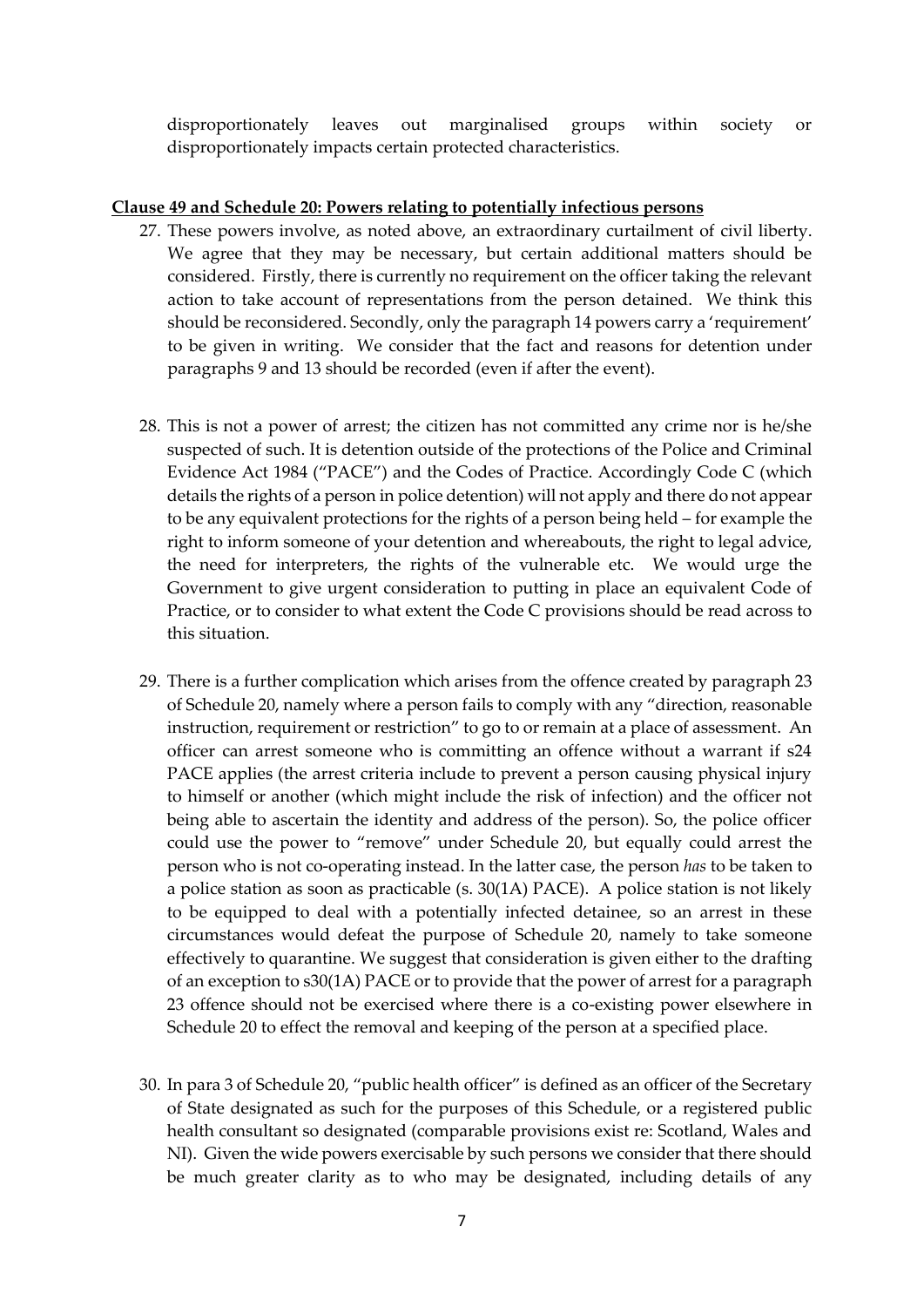disproportionately leaves out marginalised groups within society or disproportionately impacts certain protected characteristics.

#### **Clause 49 and Schedule 20: Powers relating to potentially infectious persons**

- 27. These powers involve, as noted above, an extraordinary curtailment of civil liberty. We agree that they may be necessary, but certain additional matters should be considered. Firstly, there is currently no requirement on the officer taking the relevant action to take account of representations from the person detained. We think this should be reconsidered. Secondly, only the paragraph 14 powers carry a 'requirement' to be given in writing. We consider that the fact and reasons for detention under paragraphs 9 and 13 should be recorded (even if after the event).
- 28. This is not a power of arrest; the citizen has not committed any crime nor is he/she suspected of such. It is detention outside of the protections of the Police and Criminal Evidence Act 1984 ("PACE") and the Codes of Practice. Accordingly Code C (which details the rights of a person in police detention) will not apply and there do not appear to be any equivalent protections for the rights of a person being held – for example the right to inform someone of your detention and whereabouts, the right to legal advice, the need for interpreters, the rights of the vulnerable etc. We would urge the Government to give urgent consideration to putting in place an equivalent Code of Practice, or to consider to what extent the Code C provisions should be read across to this situation.
- 29. There is a further complication which arises from the offence created by paragraph 23 of Schedule 20, namely where a person fails to comply with any "direction, reasonable instruction, requirement or restriction" to go to or remain at a place of assessment. An officer can arrest someone who is committing an offence without a warrant if s24 PACE applies (the arrest criteria include to prevent a person causing physical injury to himself or another (which might include the risk of infection) and the officer not being able to ascertain the identity and address of the person). So, the police officer could use the power to "remove" under Schedule 20, but equally could arrest the person who is not co-operating instead. In the latter case, the person *has* to be taken to a police station as soon as practicable (s. 30(1A) PACE). A police station is not likely to be equipped to deal with a potentially infected detainee, so an arrest in these circumstances would defeat the purpose of Schedule 20, namely to take someone effectively to quarantine. We suggest that consideration is given either to the drafting of an exception to s30(1A) PACE or to provide that the power of arrest for a paragraph 23 offence should not be exercised where there is a co-existing power elsewhere in Schedule 20 to effect the removal and keeping of the person at a specified place.
- 30. In para 3 of Schedule 20, "public health officer" is defined as an officer of the Secretary of State designated as such for the purposes of this Schedule, or a registered public health consultant so designated (comparable provisions exist re: Scotland, Wales and NI). Given the wide powers exercisable by such persons we consider that there should be much greater clarity as to who may be designated, including details of any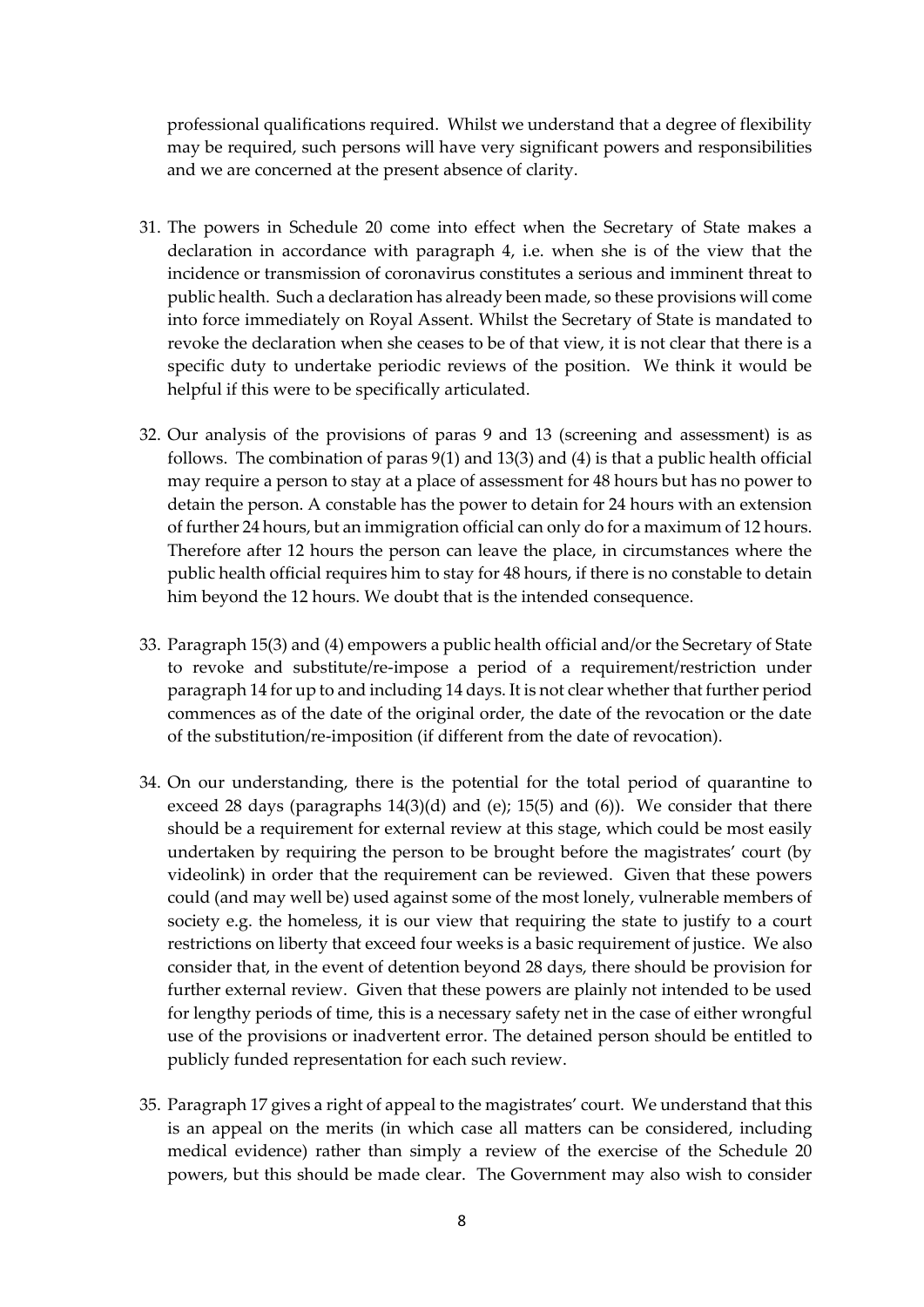professional qualifications required. Whilst we understand that a degree of flexibility may be required, such persons will have very significant powers and responsibilities and we are concerned at the present absence of clarity.

- 31. The powers in Schedule 20 come into effect when the Secretary of State makes a declaration in accordance with paragraph 4, i.e. when she is of the view that the incidence or transmission of coronavirus constitutes a serious and imminent threat to public health. Such a declaration has already been made, so these provisions will come into force immediately on Royal Assent. Whilst the Secretary of State is mandated to revoke the declaration when she ceases to be of that view, it is not clear that there is a specific duty to undertake periodic reviews of the position. We think it would be helpful if this were to be specifically articulated.
- 32. Our analysis of the provisions of paras 9 and 13 (screening and assessment) is as follows. The combination of paras 9(1) and 13(3) and (4) is that a public health official may require a person to stay at a place of assessment for 48 hours but has no power to detain the person. A constable has the power to detain for 24 hours with an extension of further 24 hours, but an immigration official can only do for a maximum of 12 hours. Therefore after 12 hours the person can leave the place, in circumstances where the public health official requires him to stay for 48 hours, if there is no constable to detain him beyond the 12 hours. We doubt that is the intended consequence.
- 33. Paragraph 15(3) and (4) empowers a public health official and/or the Secretary of State to revoke and substitute/re-impose a period of a requirement/restriction under paragraph 14 for up to and including 14 days. It is not clear whether that further period commences as of the date of the original order, the date of the revocation or the date of the substitution/re-imposition (if different from the date of revocation).
- 34. On our understanding, there is the potential for the total period of quarantine to exceed 28 days (paragraphs 14(3)(d) and (e); 15(5) and (6)). We consider that there should be a requirement for external review at this stage, which could be most easily undertaken by requiring the person to be brought before the magistrates' court (by videolink) in order that the requirement can be reviewed. Given that these powers could (and may well be) used against some of the most lonely, vulnerable members of society e.g. the homeless, it is our view that requiring the state to justify to a court restrictions on liberty that exceed four weeks is a basic requirement of justice. We also consider that, in the event of detention beyond 28 days, there should be provision for further external review. Given that these powers are plainly not intended to be used for lengthy periods of time, this is a necessary safety net in the case of either wrongful use of the provisions or inadvertent error. The detained person should be entitled to publicly funded representation for each such review.
- 35. Paragraph 17 gives a right of appeal to the magistrates' court. We understand that this is an appeal on the merits (in which case all matters can be considered, including medical evidence) rather than simply a review of the exercise of the Schedule 20 powers, but this should be made clear. The Government may also wish to consider